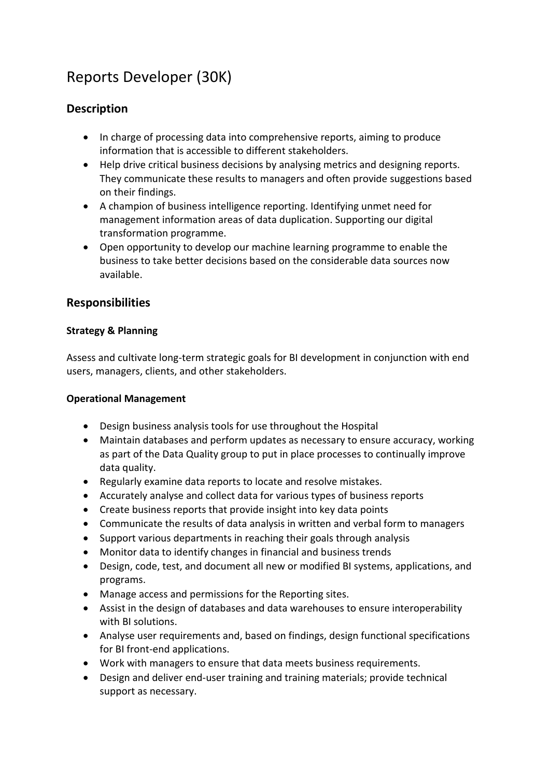# Reports Developer (30K)

## **Description**

- In charge of processing data into comprehensive reports, aiming to produce information that is accessible to different stakeholders.
- Help drive critical business decisions by analysing metrics and designing reports. They communicate these results to managers and often provide suggestions based on their findings.
- A champion of business intelligence reporting. Identifying unmet need for management information areas of data duplication. Supporting our digital transformation programme.
- Open opportunity to develop our machine learning programme to enable the business to take better decisions based on the considerable data sources now available.

## **Responsibilities**

#### **Strategy & Planning**

Assess and cultivate long-term strategic goals for BI development in conjunction with end users, managers, clients, and other stakeholders.

#### **Operational Management**

- Design business analysis tools for use throughout the Hospital
- Maintain databases and perform updates as necessary to ensure accuracy, working as part of the Data Quality group to put in place processes to continually improve data quality.
- Regularly examine data reports to locate and resolve mistakes.
- Accurately analyse and collect data for various types of business reports
- Create business reports that provide insight into key data points
- Communicate the results of data analysis in written and verbal form to managers
- Support various departments in reaching their goals through analysis
- Monitor data to identify changes in financial and business trends
- Design, code, test, and document all new or modified BI systems, applications, and programs.
- Manage access and permissions for the Reporting sites.
- Assist in the design of databases and data warehouses to ensure interoperability with BI solutions.
- Analyse user requirements and, based on findings, design functional specifications for BI front-end applications.
- Work with managers to ensure that data meets business requirements.
- Design and deliver end-user training and training materials; provide technical support as necessary.